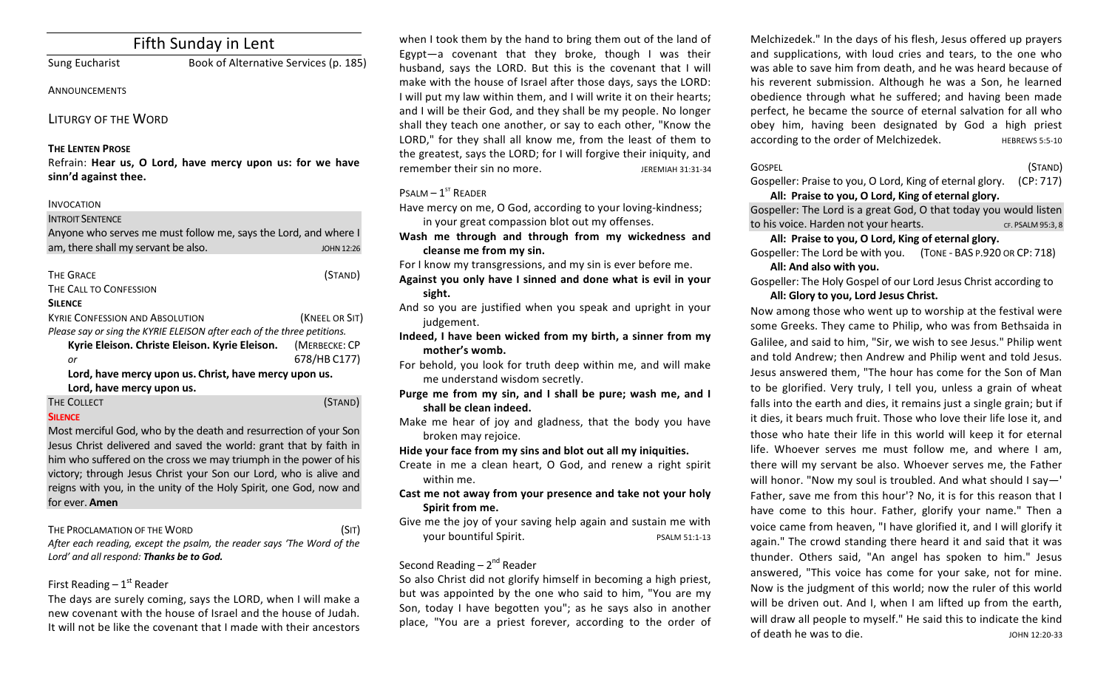# Fifth Sunday in Lent

Sung Eucharist Book of Alternative Services (p. 185)

#### **ANNOUNCEMENTS**

LITURGY OF THE WORD

## **THE LENTEN PROSE**

Refrain: Hear us, O Lord, have mercy upon us: for we have **sinn'd against thee.**

INVOCATION **INTROIT SENTENCE** Anyone who serves me must follow me, says the Lord, and where I am, there shall my servant be also. And the state of the state of the state of the state of the state of the state of the state of the state of the state of the state of the state of the state of the state of the state of THE GRACE (STAND) THE CALL TO CONFESSION **SILENCE KYRIE CONFESSION AND ABSOLUTION** *(KNEEL OR SIT) Please say or sing the KYRIE ELEISON after each of the three petitions.* **Kyrie Eleison. Christe Eleison. Kyrie Eleison.** (MERBECKE: CP *or* 678/HB C177) Lord, have mercy upon us. Christ, have mercy upon us.

Lord, have mercy upon us.

#### THE COLLECT **THE COLLECT COLLECT COLLECT COLLECT COLLECT COLLECT COLLECT COLLECT COLLECT COLLECT SILENCE**

Most merciful God, who by the death and resurrection of your Son Jesus Christ delivered and saved the world: grant that by faith in him who suffered on the cross we may triumph in the power of his victory; through Jesus Christ your Son our Lord, who is alive and reigns with you, in the unity of the Holy Spirit, one God, now and for ever. **Amen** 

## THE PROCLAMATION OF THE WORD (SIT)

After each reading, except the psalm, the reader says 'The Word of the Lord' and all respond: Thanks be to God.

## First Reading  $-1<sup>st</sup>$  Reader

The days are surely coming, says the LORD, when I will make a new covenant with the house of Israel and the house of Judah. It will not be like the covenant that I made with their ancestors

when I took them by the hand to bring them out of the land of Egypt—a covenant that they broke, though I was their husband, says the LORD. But this is the covenant that I will make with the house of Israel after those days, says the LORD: I will put my law within them, and I will write it on their hearts; and I will be their God, and they shall be my people. No longer shall they teach one another, or say to each other, "Know the LORD," for they shall all know me, from the least of them to the greatest, says the LORD; for I will forgive their iniquity, and remember their sin no more. The summary series are setting the setting of the setting of the setting of the set

## $P$ SALM –  $1^{ST}$  READER

Have mercy on me, O God, according to your loving-kindness; in your great compassion blot out my offenses.

- Wash me through and through from my wickedness and cleanse me from my sin.
- For I know my transgressions, and my sin is ever before me.
- Against you only have I sinned and done what is evil in your **sight.**
- And so you are justified when you speak and upright in your judgement.
- Indeed, I have been wicked from my birth, a sinner from my **mother's womb.**
- For behold, you look for truth deep within me, and will make me understand wisdom secretly.
- **Purge me from my sin, and I shall be pure; wash me, and I** shall be clean indeed.
- Make me hear of joy and gladness, that the body you have broken may rejoice.
- Hide your face from my sins and blot out all my iniquities.
- Create in me a clean heart, O God, and renew a right spirit within me.
- Cast me not away from your presence and take not your holy **Spirit from me.**
- Give me the joy of your saving help again and sustain me with your bountiful Spirit. The position of the pSALM 51:1-13

## Second Reading –  $2^{nd}$  Reader

So also Christ did not glorify himself in becoming a high priest, but was appointed by the one who said to him, "You are my Son, today I have begotten you"; as he says also in another place, "You are a priest forever, according to the order of Melchizedek." In the days of his flesh, Jesus offered up prayers and supplications, with loud cries and tears, to the one who was able to save him from death, and he was heard because of his reverent submission. Although he was a Son, he learned obedience through what he suffered; and having been made perfect, he became the source of eternal salvation for all who obey him, having been designated by God a high priest according to the order of Melchizedek. HEBREWS 5:5-10

| Gospel                                                             | (STAND) |
|--------------------------------------------------------------------|---------|
| Gospeller: Praise to you, O Lord, King of eternal glory. (CP: 717) |         |

All: Praise to you, O Lord, King of eternal glory.

Gospeller: The Lord is a great God, O that today you would listen to his voice. Harden not your hearts. The set of the set of the set of the set of the set of the set of the set of the set of the set of the set of the set of the set of the set of the set of the set of the set of the set

## All: Praise to you, O Lord, King of eternal glory.

Gospeller: The Lord be with you. (TONE - BAS P.920 OR CP: 718) All: And also with you.

Gospeller: The Holy Gospel of our Lord Jesus Christ according to All: Glory to you, Lord Jesus Christ.

Now among those who went up to worship at the festival were some Greeks. They came to Philip, who was from Bethsaida in Galilee, and said to him, "Sir, we wish to see Jesus." Philip went and told Andrew; then Andrew and Philip went and told Jesus. Jesus answered them, "The hour has come for the Son of Man to be glorified. Very truly, I tell you, unless a grain of wheat falls into the earth and dies, it remains just a single grain; but if it dies, it bears much fruit. Those who love their life lose it, and those who hate their life in this world will keep it for eternal life. Whoever serves me must follow me, and where I am, there will my servant be also. Whoever serves me, the Father will honor. "Now my soul is troubled. And what should I say-' Father, save me from this hour'? No, it is for this reason that I have come to this hour. Father, glorify your name." Then a voice came from heaven, "I have glorified it, and I will glorify it again." The crowd standing there heard it and said that it was thunder. Others said, "An angel has spoken to him." Jesus answered, "This voice has come for your sake, not for mine. Now is the judgment of this world; now the ruler of this world will be driven out. And I, when I am lifted up from the earth, will draw all people to myself." He said this to indicate the kind of death he was to die. The set of the set of death he was to die.